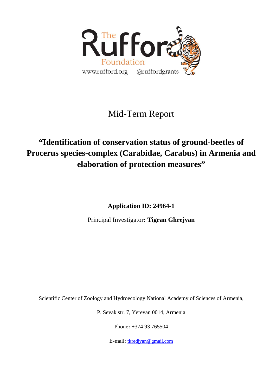

# Mid-Term Report

# **"Identification of conservation status of ground-beetles of Procerus species-complex (Carabidae, Carabus) in Armenia and elaboration of protection measures"**

**Application ID: 24964-1** 

Principal Investigator**: Tigran Ghrejyan** 

Scientific Center of Zoology and Hydroecology National Academy of Sciences of Armenia,

P. Sevak str. 7, Yerevan 0014, Armenia

Phone**: +**374 93 765504

E-mail: [tkredjyan@gmail.com](mailto:tkredjyan@gmail.com)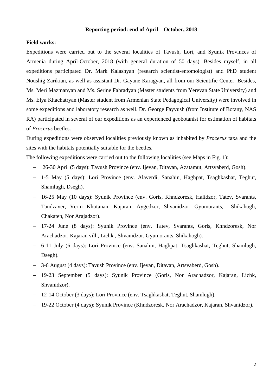## **Reporting period: end of April – October, 2018**

## **Field works:**

Expeditions were carried out to the several localities of Tavush, Lori, and Syunik Provinces of Armenia during April-October, 2018 (with general duration of 50 days). Besides myself, in all expeditions participated Dr. Mark Kalashyan (research scientist-entomologist) and PhD student Noushig Zarikian, as well as assistant Dr. Gayane Karagyan, all from our Scientific Center. Besides, Ms. Meri Mazmanyan and Ms. Serine Fahradyan (Master students from Yerevan State University) and Ms. Elya Khachatryan (Master student from Armenian State Pedagogical University) were involved in some expeditions and laboratory research as well. Dr. George Fayvush (from Institute of Botany, NAS RA) participated in several of our expeditions as an experienced geobotanist for estimation of habitats of *Procerus* beetles.

During expeditions were observed localities previously known as inhabited by *Procerus* taxa and the sites with the habitats potentially suitable for the beetles.

The following expeditions were carried out to the following localities (see Maps in Fig. 1):

- − 26-30 April (5 days): Tavush Province (env. Ijevan, Ditavan, Azatamut, Artsvaberd, Gosh).
- − 1-5 May (5 days): Lori Province (env. Alaverdi, Sanahin, Haghpat, Tsaghkashat, Teghut, Shamlugh, Dsegh).
- − 16-25 May (10 days): Syunik Province (env. Goris, Khndzoresk, Halidzor, Tatev, Svarants, Tandzaver, Verin Khotanan, Kajaran, Aygedzor, Shvanidzor, Gyumorants, Shikahogh, Chakaten, Nor Arajadzor).
- − 17-24 June (8 days): Syunik Province (env. Tatev, Svarants, Goris, Khndzoresk, Nor Arachadzor, Kajaran vill., Lichk , Shvanidzor, Gyumorants, Shikahogh).
- − 6-11 July (6 days): Lori Province (env. Sanahin, Haghpat, Tsaghkashat, Teghut, Shamlugh, Dsegh).
- − 3-6 August (4 days): Tavush Province (env. Ijevan, Ditavan, Artsvaberd, Gosh).
- − 19-23 September (5 days): Syunik Province (Goris, Nor Arachadzor, Kajaran, Lichk, Shvanidzor).
- − 12-14 October (3 days): Lori Province (env. Tsaghkashat, Teghut, Shamlugh).
- − 19-22 October (4 days): Syunik Province (Khndzoresk, Nor Arachadzor, Kajaran, Shvanidzor).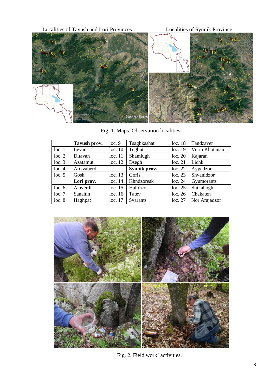

Fig. 1. Maps. Observation localities.

|        | Tavush prov. | loc.9   | Tsaghkashat     | loc.18  | Tandzaver      |
|--------|--------------|---------|-----------------|---------|----------------|
| loc.1  | Ijevan       | loc. 10 | Teghut          | loc.19  | Verin Khotanan |
| loc. 2 | Ditavan      | loc. 11 | Shamlugh        | loc. 20 | Kajaran        |
| loc.3  | Azatamut     | loc. 12 | Dsegh           | loc. 21 | Lichk          |
| loc.4  | Artsvaberd   |         | Syunik prov.    | loc. 22 | Aygedzor       |
| loc. 5 | Gosh         | loc.13  | Goris           | loc.23  | Shvanidzor     |
|        | Lori prov.   | loc.14  | Khndzoresk      | loc.24  | Gyumorants     |
| loc.6  | Alaverdi     | loc. 15 | Halidzor        | loc.25  | Shikahogh      |
| loc.7  | Sanahin      | loc.16  | Tatey           | loc. 26 | Chakaten       |
| loc.8  | Haghpat      | loc.17  | <b>Svarants</b> | loc. 27 | Nor Arajadzor  |



Fig. 2. Field work' activities.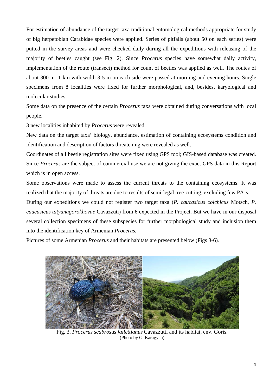For estimation of abundance of the target taxa traditional entomological methods appropriate for study of big herpetobian Carabidae species were applied. Series of pitfalls (about 50 on each series) were putted in the survey areas and were checked daily during all the expeditions with releasing of the majority of beetles caught (see Fig. 2). Since *Procerus* species have somewhat daily activity, implementation of the route (transect) method for count of beetles was applied as well. The routes of about 300 m -1 km with width 3-5 m on each side were passed at morning and evening hours. Single specimens from 8 localities were fixed for further morphological, and, besides, karyological and molecular studies.

Some data on the presence of the certain *Procerus* taxa were obtained during conversations with local people.

3 new localities inhabited by *Procerus* were revealed.

New data on the target taxa' biology, abundance, estimation of containing ecosystems condition and identification and description of factors threatening were revealed as well.

Coordinates of all beetle registration sites were fixed using GPS tool; GIS-based database was created. Since *Procerus* are the subject of commercial use we are not giving the exact GPS data in this Report which is in open access.

Some observations were made to assess the current threats to the containing ecosystems. It was realized that the majority of threats are due to results of semi-legal tree-cutting, excluding few PA-s.

During our expeditions we could not register two target taxa (*P. caucasicus colchicus* Motsch, *P. caucasicus tatyanagorokhovae* Cavazzuti) from 6 expected in the Project. But we have in our disposal several collection specimens of these subspecies for further morphological study and inclusion them into the identification key of Armenian *Procerus.*

Pictures of some Armenian *Procerus* and their habitats are presented below (Figs 3-6).



Fig. 3. *Procerus scabrosus fallettianus* Cavazzutti and its habitat, env. Goris. (Photo by G. Karagyan)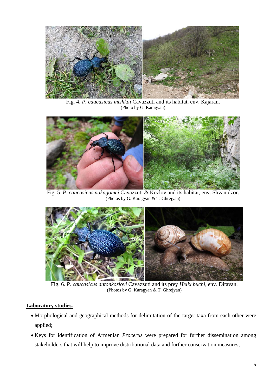

Fig. 4. *P. caucasicus mishkai* Cavazzuti and its habitat, env. Kajaran. (Photo by G. Karagyan)



Fig. 5. *P. caucasicus nakagomei* Cavazzuti & Kozlov and its habitat, env. Shvanidzor. (Photos by G. Karagyan & T. Ghrejyan)



Fig. 6. *P. caucasicus antonkozlovi* Cavazzuti and its prey *Helix buchi*, env. Ditavan. (Photos by G. Karagyan & T. Ghrejyan)

# **Laboratory studies.**

- Morphological and geographical methods for delimitation of the target taxa from each other were applied;
- Keys for identification of Armenian *Procerus* were prepared for further dissemination among stakeholders that will help to improve distributional data and further conservation measures;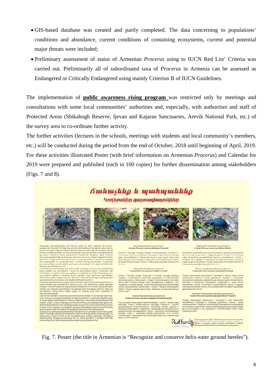- GIS-based database was created and partly completed. The data concerning to populations' conditions and abundance, current conditions of containing ecosystems, current and potential major threats were included;
- Preliminary assessment of status of Armenian *Procerus* using to IUCN Red List' Criteria was carried out. Preliminarily all of subordinated taxa of *Procerus* in Armenia can be assessed as Endangered or Critically Endangered using mainly Criterion B of IUCN Guidelines.

The implementation of **public awareness rising program** was restricted only by meetings and consultations with some local communities' authorities and, especially, with authorities and staff of Protected Areas (Shikahogh Reserve, Ijevan and Kajaran Sanctuaries, Arevik National Park, etc.) of the survey area to co-ordinate further activity.

The further activities (lectures in the schools, meetings with students and local community's members, etc.) will be conducted during the period from the end of October, 2018 until beginning of April, 2019. For these activities illustrated Poster (with brief information on Armenian *Procerus*) and Calendar for 2019 were prepared and published (each in 100 copies) for further dissemination among stakeholders (Figs. 7 and 8).

# *<u>Outhusting</u> le munturuliting*

Կողնջակեր ցայտագնայուկներ







### .<br>Խալետիի կողեջակեր ցայ<br>«*(Procerus) scabrosus fall*e

Umthph dupghs 9nphuh mun

### Upglungh handigunkan ganyamahanyadi

Rufford



### **Inquisity** limits<br>**Control** concess

Fig. 7. Poster (the title in Armenian is "Recognize and conserve helix-eater ground beetles").